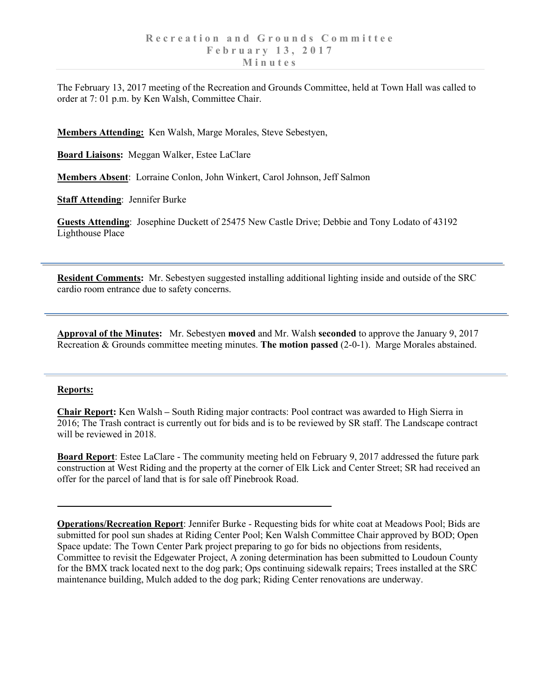The February 13, 2017 meeting of the Recreation and Grounds Committee, held at Town Hall was called to order at 7: 01 p.m. by Ken Walsh, Committee Chair.

**Members Attending:** Ken Walsh, Marge Morales, Steve Sebestyen,

**Board Liaisons:** Meggan Walker, Estee LaClare

**Members Absent**: Lorraine Conlon, John Winkert, Carol Johnson, Jeff Salmon

**Staff Attending**: Jennifer Burke

**Guests Attending**: Josephine Duckett of 25475 New Castle Drive; Debbie and Tony Lodato of 43192 Lighthouse Place

**Resident Comments:** Mr. Sebestyen suggested installing additional lighting inside and outside of the SRC cardio room entrance due to safety concerns.

**Approval of the Minutes:** Mr. Sebestyen **moved** and Mr. Walsh **seconded** to approve the January 9, 2017 Recreation & Grounds committee meeting minutes. **The motion passed** (2-0-1). Marge Morales abstained.

## **Reports:**

**Chair Report:** Ken Walsh **–** South Riding major contracts: Pool contract was awarded to High Sierra in 2016; The Trash contract is currently out for bids and is to be reviewed by SR staff. The Landscape contract will be reviewed in 2018.

**Board Report**: Estee LaClare - The community meeting held on February 9, 2017 addressed the future park construction at West Riding and the property at the corner of Elk Lick and Center Street; SR had received an offer for the parcel of land that is for sale off Pinebrook Road.

**Operations/Recreation Report**: Jennifer Burke - Requesting bids for white coat at Meadows Pool; Bids are submitted for pool sun shades at Riding Center Pool; Ken Walsh Committee Chair approved by BOD; Open Space update: The Town Center Park project preparing to go for bids no objections from residents, Committee to revisit the Edgewater Project, A zoning determination has been submitted to Loudoun County for the BMX track located next to the dog park; Ops continuing sidewalk repairs; Trees installed at the SRC maintenance building, Mulch added to the dog park; Riding Center renovations are underway.